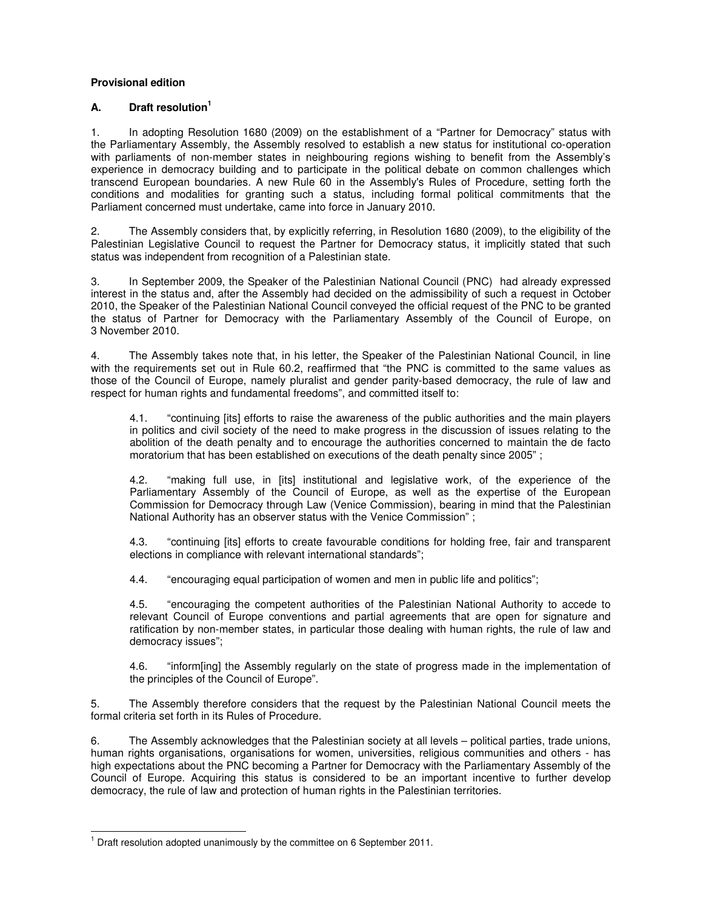## **Provisional edition**

## **A. Draft resolution<sup>1</sup>**

1. In adopting Resolution 1680 (2009) on the establishment of a "Partner for Democracy" status with the Parliamentary Assembly, the Assembly resolved to establish a new status for institutional co-operation with parliaments of non-member states in neighbouring regions wishing to benefit from the Assembly's experience in democracy building and to participate in the political debate on common challenges which transcend European boundaries. A new Rule 60 in the Assembly's Rules of Procedure, setting forth the conditions and modalities for granting such a status, including formal political commitments that the Parliament concerned must undertake, came into force in January 2010.

2. The Assembly considers that, by explicitly referring, in Resolution 1680 (2009), to the eligibility of the Palestinian Legislative Council to request the Partner for Democracy status, it implicitly stated that such status was independent from recognition of a Palestinian state.

3. In September 2009, the Speaker of the Palestinian National Council (PNC) had already expressed interest in the status and, after the Assembly had decided on the admissibility of such a request in October 2010, the Speaker of the Palestinian National Council conveyed the official request of the PNC to be granted the status of Partner for Democracy with the Parliamentary Assembly of the Council of Europe, on 3 November 2010.

4. The Assembly takes note that, in his letter, the Speaker of the Palestinian National Council, in line with the requirements set out in Rule 60.2, reaffirmed that "the PNC is committed to the same values as those of the Council of Europe, namely pluralist and gender parity-based democracy, the rule of law and respect for human rights and fundamental freedoms", and committed itself to:

4.1. "continuing [its] efforts to raise the awareness of the public authorities and the main players in politics and civil society of the need to make progress in the discussion of issues relating to the abolition of the death penalty and to encourage the authorities concerned to maintain the de facto moratorium that has been established on executions of the death penalty since 2005" ;

4.2. "making full use, in [its] institutional and legislative work, of the experience of the Parliamentary Assembly of the Council of Europe, as well as the expertise of the European Commission for Democracy through Law (Venice Commission), bearing in mind that the Palestinian National Authority has an observer status with the Venice Commission" ;

4.3. "continuing [its] efforts to create favourable conditions for holding free, fair and transparent elections in compliance with relevant international standards";

4.4. "encouraging equal participation of women and men in public life and politics";

4.5. "encouraging the competent authorities of the Palestinian National Authority to accede to relevant Council of Europe conventions and partial agreements that are open for signature and ratification by non-member states, in particular those dealing with human rights, the rule of law and democracy issues";

4.6. "inform[ing] the Assembly regularly on the state of progress made in the implementation of the principles of the Council of Europe".

5. The Assembly therefore considers that the request by the Palestinian National Council meets the formal criteria set forth in its Rules of Procedure.

6. The Assembly acknowledges that the Palestinian society at all levels – political parties, trade unions, human rights organisations, organisations for women, universities, religious communities and others - has high expectations about the PNC becoming a Partner for Democracy with the Parliamentary Assembly of the Council of Europe. Acquiring this status is considered to be an important incentive to further develop democracy, the rule of law and protection of human rights in the Palestinian territories.

 $\overline{a}$ 

<sup>&</sup>lt;sup>1</sup> Draft resolution adopted unanimously by the committee on 6 September 2011.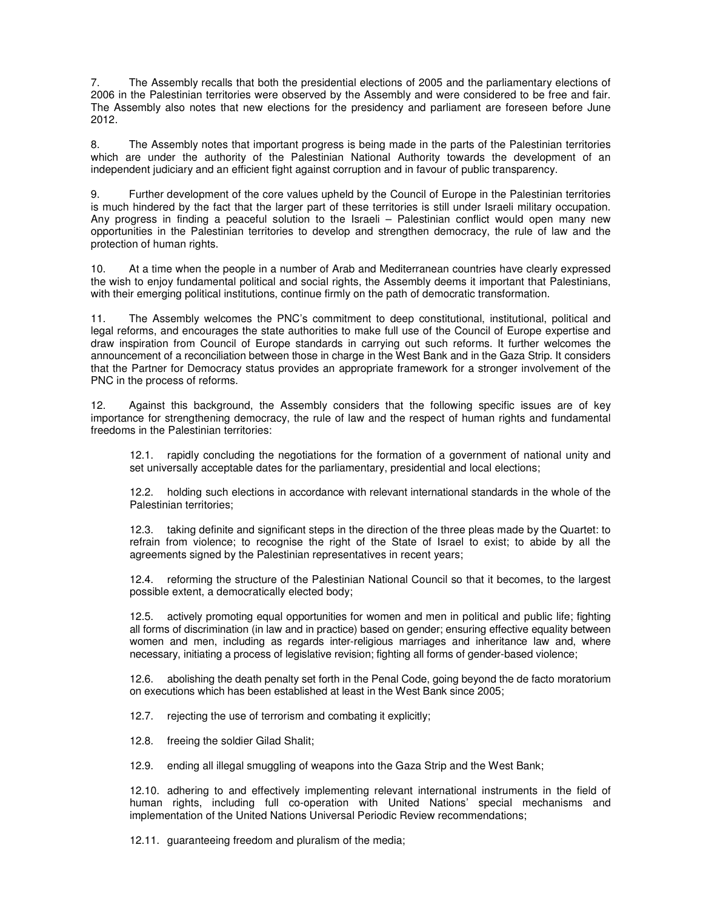7. The Assembly recalls that both the presidential elections of 2005 and the parliamentary elections of 2006 in the Palestinian territories were observed by the Assembly and were considered to be free and fair. The Assembly also notes that new elections for the presidency and parliament are foreseen before June 2012.

8. The Assembly notes that important progress is being made in the parts of the Palestinian territories which are under the authority of the Palestinian National Authority towards the development of an independent judiciary and an efficient fight against corruption and in favour of public transparency.

9. Further development of the core values upheld by the Council of Europe in the Palestinian territories is much hindered by the fact that the larger part of these territories is still under Israeli military occupation. Any progress in finding a peaceful solution to the Israeli – Palestinian conflict would open many new opportunities in the Palestinian territories to develop and strengthen democracy, the rule of law and the protection of human rights.

10. At a time when the people in a number of Arab and Mediterranean countries have clearly expressed the wish to enjoy fundamental political and social rights, the Assembly deems it important that Palestinians, with their emerging political institutions, continue firmly on the path of democratic transformation.

11. The Assembly welcomes the PNC's commitment to deep constitutional, institutional, political and legal reforms, and encourages the state authorities to make full use of the Council of Europe expertise and draw inspiration from Council of Europe standards in carrying out such reforms. It further welcomes the announcement of a reconciliation between those in charge in the West Bank and in the Gaza Strip. It considers that the Partner for Democracy status provides an appropriate framework for a stronger involvement of the PNC in the process of reforms.

12. Against this background, the Assembly considers that the following specific issues are of key importance for strengthening democracy, the rule of law and the respect of human rights and fundamental freedoms in the Palestinian territories:

12.1. rapidly concluding the negotiations for the formation of a government of national unity and set universally acceptable dates for the parliamentary, presidential and local elections;

12.2. holding such elections in accordance with relevant international standards in the whole of the Palestinian territories;

12.3. taking definite and significant steps in the direction of the three pleas made by the Quartet: to refrain from violence; to recognise the right of the State of Israel to exist; to abide by all the agreements signed by the Palestinian representatives in recent years;

12.4. reforming the structure of the Palestinian National Council so that it becomes, to the largest possible extent, a democratically elected body;

12.5. actively promoting equal opportunities for women and men in political and public life; fighting all forms of discrimination (in law and in practice) based on gender; ensuring effective equality between women and men, including as regards inter-religious marriages and inheritance law and, where necessary, initiating a process of legislative revision; fighting all forms of gender-based violence;

12.6. abolishing the death penalty set forth in the Penal Code, going beyond the de facto moratorium on executions which has been established at least in the West Bank since 2005;

12.7. rejecting the use of terrorism and combating it explicitly;

12.8. freeing the soldier Gilad Shalit;

12.9. ending all illegal smuggling of weapons into the Gaza Strip and the West Bank;

12.10. adhering to and effectively implementing relevant international instruments in the field of human rights, including full co-operation with United Nations' special mechanisms and implementation of the United Nations Universal Periodic Review recommendations;

12.11. guaranteeing freedom and pluralism of the media;